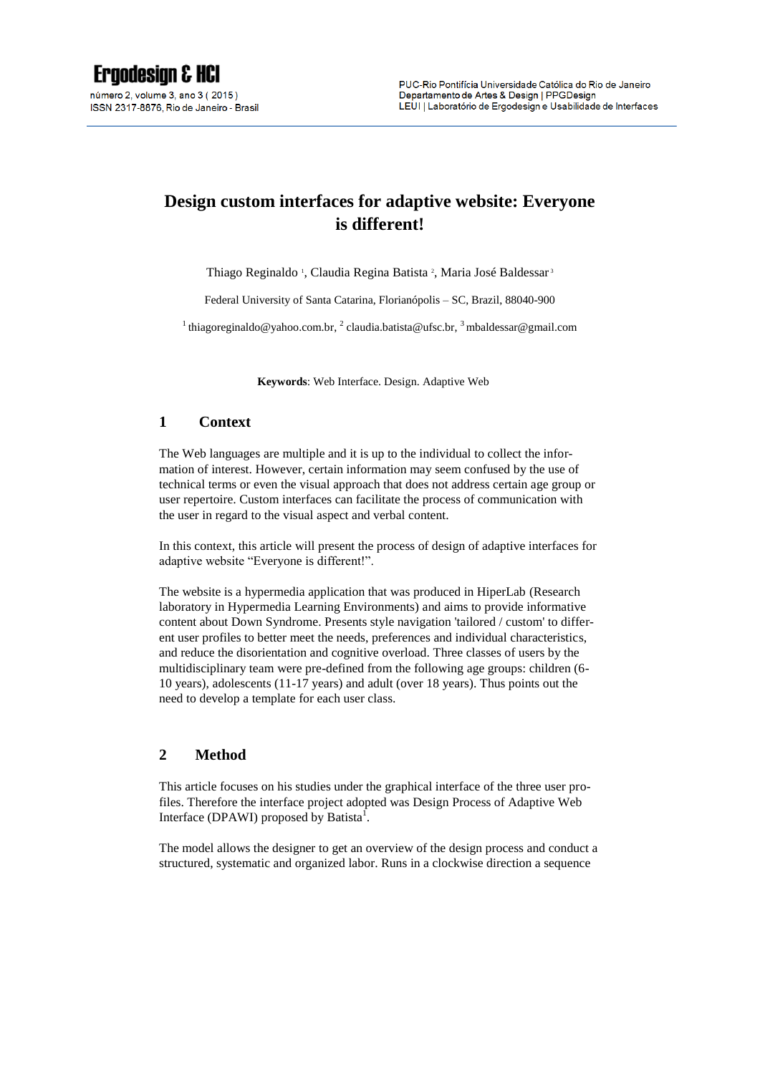# **Design custom interfaces for adaptive website: Everyone is different!**

Thiago Reginaldo<sup>1</sup>, Claudia Regina Batista<sup>2</sup>, Maria José Baldessar<sup>3</sup>

Federal University of Santa Catarina, Florianópolis – SC, Brazil, 88040-900

<sup>1</sup> thiagoreginaldo@yahoo.com.br, <sup>2</sup> [claudia.batista@ufsc.br,](mailto:2%20claudia.batista@ufsc.br) <sup>3</sup> mbaldessar@gmail.com

**Keywords**: Web Interface. Design. Adaptive Web

# **1 Context**

The Web languages are multiple and it is up to the individual to collect the information of interest. However, certain information may seem confused by the use of technical terms or even the visual approach that does not address certain age group or user repertoire. Custom interfaces can facilitate the process of communication with the user in regard to the visual aspect and verbal content.

In this context, this article will present the process of design of adaptive interfaces for adaptive website "Everyone is different!".

The website is a hypermedia application that was produced in HiperLab (Research laboratory in Hypermedia Learning Environments) and aims to provide informative content about Down Syndrome. Presents style navigation 'tailored / custom' to different user profiles to better meet the needs, preferences and individual characteristics, and reduce the disorientation and cognitive overload. Three classes of users by the multidisciplinary team were pre-defined from the following age groups: children (6- 10 years), adolescents (11-17 years) and adult (over 18 years). Thus points out the need to develop a template for each user class.

## **2 Method**

This article focuses on his studies under the graphical interface of the three user profiles. Therefore the interface project adopted was Design Process of Adaptive Web Interface (DPAWI) proposed by Batista<sup>1</sup>.

The model allows the designer to get an overview of the design process and conduct a structured, systematic and organized labor. Runs in a clockwise direction a sequence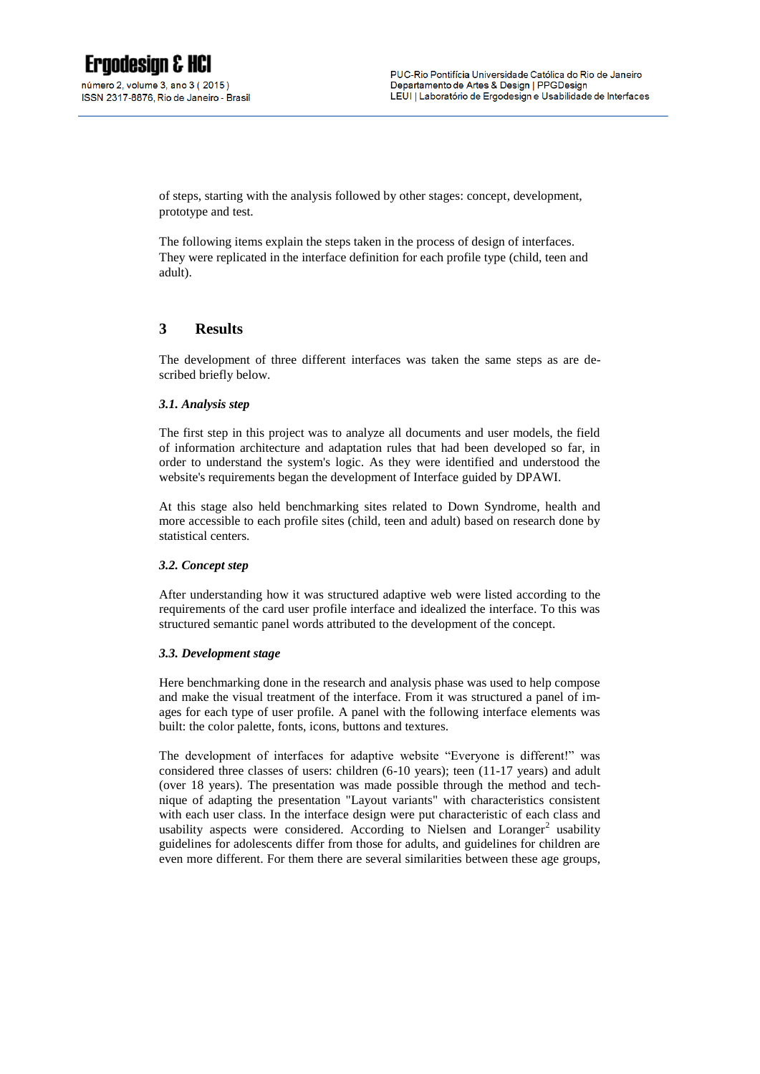of steps, starting with the analysis followed by other stages: concept, development, prototype and test.

The following items explain the steps taken in the process of design of interfaces. They were replicated in the interface definition for each profile type (child, teen and adult).

# **3 Results**

The development of three different interfaces was taken the same steps as are described briefly below.

#### *3.1. Analysis step*

The first step in this project was to analyze all documents and user models, the field of information architecture and adaptation rules that had been developed so far, in order to understand the system's logic. As they were identified and understood the website's requirements began the development of Interface guided by DPAWI.

At this stage also held benchmarking sites related to Down Syndrome, health and more accessible to each profile sites (child, teen and adult) based on research done by statistical centers.

#### *3.2. Concept step*

After understanding how it was structured adaptive web were listed according to the requirements of the card user profile interface and idealized the interface. To this was structured semantic panel words attributed to the development of the concept.

#### *3.3. Development stage*

Here benchmarking done in the research and analysis phase was used to help compose and make the visual treatment of the interface. From it was structured a panel of images for each type of user profile. A panel with the following interface elements was built: the color palette, fonts, icons, buttons and textures.

The development of interfaces for adaptive website "Everyone is different!" was considered three classes of users: children (6-10 years); teen (11-17 years) and adult (over 18 years). The presentation was made possible through the method and technique of adapting the presentation "Layout variants" with characteristics consistent with each user class. In the interface design were put characteristic of each class and usability aspects were considered. According to Nielsen and Loranger<sup>2</sup> usability guidelines for adolescents differ from those for adults, and guidelines for children are even more different. For them there are several similarities between these age groups,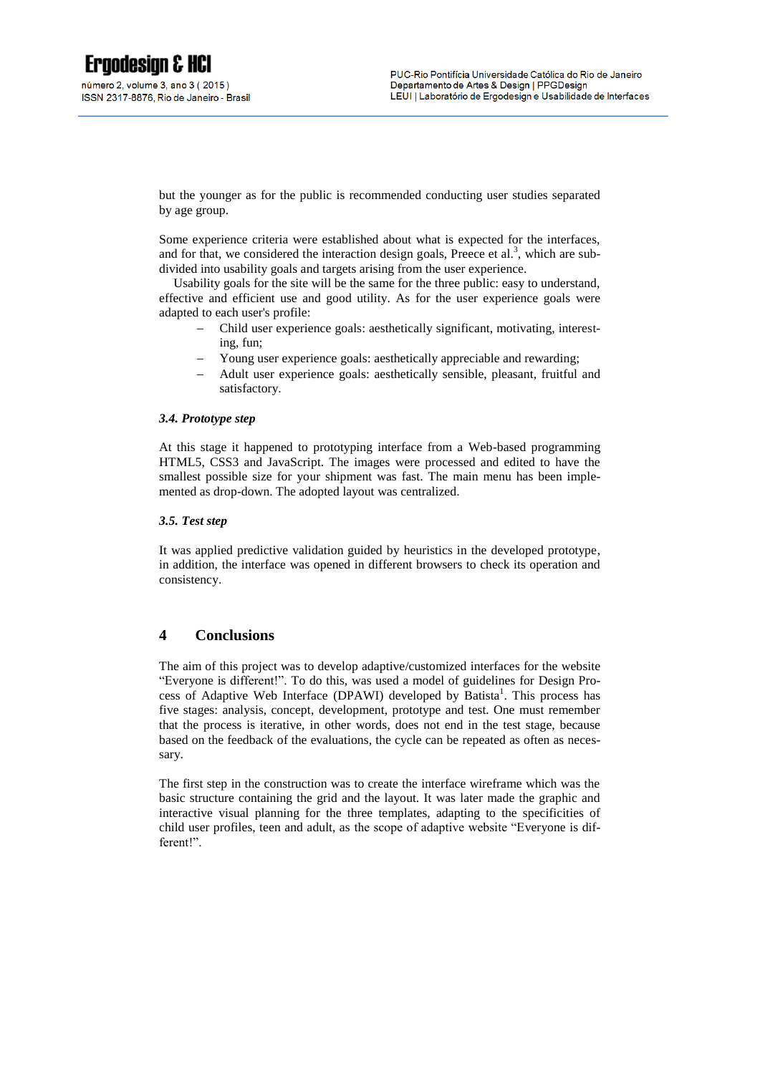but the younger as for the public is recommended conducting user studies separated by age group.

Some experience criteria were established about what is expected for the interfaces, and for that, we considered the interaction design goals, Preece et al.<sup>3</sup>, which are subdivided into usability goals and targets arising from the user experience.

Usability goals for the site will be the same for the three public: easy to understand, effective and efficient use and good utility. As for the user experience goals were adapted to each user's profile:

- Child user experience goals: aesthetically significant, motivating, interesting, fun;
- Young user experience goals: aesthetically appreciable and rewarding;
- Adult user experience goals: aesthetically sensible, pleasant, fruitful and satisfactory.

#### *3.4. Prototype step*

At this stage it happened to prototyping interface from a Web-based programming HTML5, CSS3 and JavaScript. The images were processed and edited to have the smallest possible size for your shipment was fast. The main menu has been implemented as drop-down. The adopted layout was centralized.

#### *3.5. Test step*

It was applied predictive validation guided by heuristics in the developed prototype, in addition, the interface was opened in different browsers to check its operation and consistency.

## **4 Conclusions**

The aim of this project was to develop adaptive/customized interfaces for the website "Everyone is different!". To do this, was used a model of guidelines for Design Process of Adaptive Web Interface (DPAWI) developed by Batista<sup>1</sup>. This process has five stages: analysis, concept, development, prototype and test. One must remember that the process is iterative, in other words, does not end in the test stage, because based on the feedback of the evaluations, the cycle can be repeated as often as necessary.

The first step in the construction was to create the interface wireframe which was the basic structure containing the grid and the layout. It was later made the graphic and interactive visual planning for the three templates, adapting to the specificities of child user profiles, teen and adult, as the scope of adaptive website "Everyone is different!".